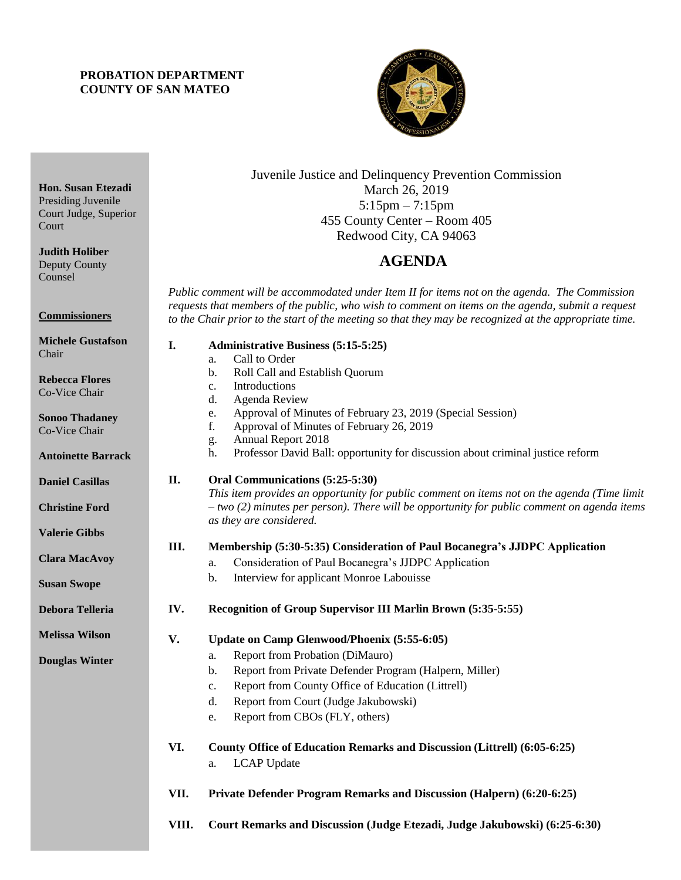### **PROBATION DEPARTMENT COUNTY OF SAN MATEO**

**Hon. Susan Etezadi** Presiding Juvenile Court Judge, Superior

**Judith Holiber** Deputy County Counsel

**Commissioners**

Court



### Juvenile Justice and Delinquency Prevention Commission March 26, 2019 5:15pm – 7:15pm 455 County Center – Room 405 Redwood City, CA 94063

# 4B**AGENDA**

*Public comment will be accommodated under Item II for items not on the agenda. The Commission requests that members of the public, who wish to comment on items on the agenda, submit a request to the Chair prior to the start of the meeting so that they may be recognized at the appropriate time.* 

| <b>Michele Gustafson</b><br>Chair      | I.    | <b>Administrative Business (5:15-5:25)</b><br>Call to Order<br>a.                                                                                                                                                       |
|----------------------------------------|-------|-------------------------------------------------------------------------------------------------------------------------------------------------------------------------------------------------------------------------|
| <b>Rebecca Flores</b><br>Co-Vice Chair |       | Roll Call and Establish Quorum<br>b.<br>Introductions<br>c.<br>Agenda Review<br>d.                                                                                                                                      |
| <b>Sonoo Thadaney</b><br>Co-Vice Chair |       | Approval of Minutes of February 23, 2019 (Special Session)<br>e.<br>f.<br>Approval of Minutes of February 26, 2019<br>Annual Report 2018<br>g.                                                                          |
| <b>Antoinette Barrack</b>              |       | Professor David Ball: opportunity for discussion about criminal justice reform<br>h.                                                                                                                                    |
| <b>Daniel Casillas</b>                 | II.   | Oral Communications (5:25-5:30)                                                                                                                                                                                         |
| <b>Christine Ford</b>                  |       | This item provides an opportunity for public comment on items not on the agenda (Time limit<br>$-$ two (2) minutes per person). There will be opportunity for public comment on agenda items<br>as they are considered. |
| <b>Valerie Gibbs</b>                   |       |                                                                                                                                                                                                                         |
| <b>Clara MacAvoy</b>                   | Ш.    | Membership (5:30-5:35) Consideration of Paul Bocanegra's JJDPC Application<br>Consideration of Paul Bocanegra's JJDPC Application<br>a.                                                                                 |
| <b>Susan Swope</b>                     |       | Interview for applicant Monroe Labouisse<br>b.                                                                                                                                                                          |
| <b>Debora Telleria</b>                 | IV.   | Recognition of Group Supervisor III Marlin Brown (5:35-5:55)                                                                                                                                                            |
| Melissa Wilson                         | V.    | Update on Camp Glenwood/Phoenix (5:55-6:05)                                                                                                                                                                             |
| <b>Douglas Winter</b>                  |       | Report from Probation (DiMauro)<br>a.                                                                                                                                                                                   |
|                                        |       | Report from Private Defender Program (Halpern, Miller)<br>b.                                                                                                                                                            |
|                                        |       | Report from County Office of Education (Littrell)<br>c.                                                                                                                                                                 |
|                                        |       | Report from Court (Judge Jakubowski)<br>d.                                                                                                                                                                              |
|                                        |       | Report from CBOs (FLY, others)<br>e.                                                                                                                                                                                    |
|                                        | VI.   | County Office of Education Remarks and Discussion (Littrell) (6:05-6:25)                                                                                                                                                |
|                                        |       | <b>LCAP</b> Update<br>a.                                                                                                                                                                                                |
|                                        | VII.  | Private Defender Program Remarks and Discussion (Halpern) (6:20-6:25)                                                                                                                                                   |
|                                        | VIII. | Court Remarks and Discussion (Judge Etezadi, Judge Jakubowski) (6:25-6:30)                                                                                                                                              |